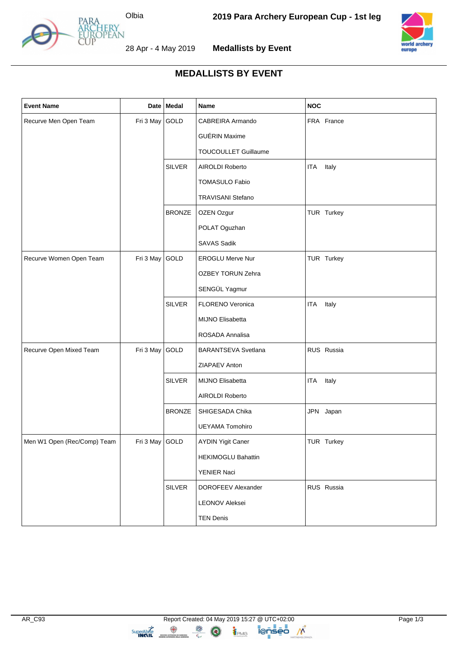

28 Apr - 4 May 2019



**Medallists by Event**



## **MEDALLISTS BY EVENT**

| <b>Event Name</b>           |                | Date Medal    | <b>Name</b>               | <b>NOC</b>          |
|-----------------------------|----------------|---------------|---------------------------|---------------------|
| Recurve Men Open Team       | Fri 3 May GOLD |               | CABREIRA Armando          | FRA France          |
|                             |                |               | <b>GUÉRIN Maxime</b>      |                     |
|                             |                |               | TOUCOULLET Guillaume      |                     |
|                             |                | <b>SILVER</b> | AIROLDI Roberto           | Italy<br>ITA        |
|                             |                |               | <b>TOMASULO Fabio</b>     |                     |
|                             |                |               | <b>TRAVISANI Stefano</b>  |                     |
|                             |                | <b>BRONZE</b> | OZEN Ozgur                | TUR Turkey          |
|                             |                |               | POLAT Oguzhan             |                     |
|                             |                |               | <b>SAVAS Sadik</b>        |                     |
| Recurve Women Open Team     | Fri 3 May GOLD |               | <b>EROGLU Merve Nur</b>   | TUR Turkey          |
|                             |                |               | OZBEY TORUN Zehra         |                     |
|                             |                |               | SENGÜL Yagmur             |                     |
|                             |                | <b>SILVER</b> | FLORENO Veronica          | Italy<br><b>ITA</b> |
|                             |                |               | MIJNO Elisabetta          |                     |
|                             |                |               | ROSADA Annalisa           |                     |
| Recurve Open Mixed Team     | Fri 3 May GOLD |               | BARANTSEVA Svetlana       | RUS Russia          |
|                             |                |               | ZIAPAEV Anton             |                     |
|                             |                | <b>SILVER</b> | MIJNO Elisabetta          | ITA<br>Italy        |
|                             |                |               | AIROLDI Roberto           |                     |
|                             |                | <b>BRONZE</b> | SHIGESADA Chika           | JPN Japan           |
|                             |                |               | <b>UEYAMA Tomohiro</b>    |                     |
| Men W1 Open (Rec/Comp) Team | Fri 3 May GOLD |               | <b>AYDIN Yigit Caner</b>  | TUR Turkey          |
|                             |                |               | <b>HEKIMOGLU Bahattin</b> |                     |
|                             |                |               | YENIER Naci               |                     |
|                             |                | <b>SILVER</b> | DOROFEEV Alexander        | RUS Russia          |
|                             |                |               | <b>LEONOV Aleksei</b>     |                     |
|                             |                |               | <b>TEN Denis</b>          |                     |

TPMG

 $\circled{\bullet}$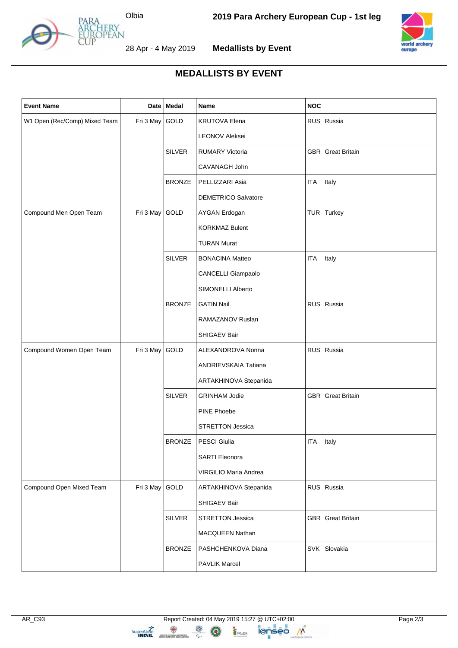

28 Apr - 4 May 2019



**Medallists by Event**



## **MEDALLISTS BY EVENT**

| <b>Event Name</b>             |                | Date   Medal  | Name                       | <b>NOC</b>               |
|-------------------------------|----------------|---------------|----------------------------|--------------------------|
| W1 Open (Rec/Comp) Mixed Team | Fri 3 May GOLD |               | <b>KRUTOVA Elena</b>       | RUS Russia               |
|                               |                |               | LEONOV Aleksei             |                          |
|                               |                | <b>SILVER</b> | <b>RUMARY Victoria</b>     | <b>GBR</b> Great Britain |
|                               |                |               | CAVANAGH John              |                          |
|                               |                | <b>BRONZE</b> | PELLIZZARI Asia            | <b>ITA</b><br>Italy      |
|                               |                |               | <b>DEMETRICO Salvatore</b> |                          |
| Compound Men Open Team        | Fri 3 May      | GOLD          | AYGAN Erdogan              | TUR Turkey               |
|                               |                |               | <b>KORKMAZ Bulent</b>      |                          |
|                               |                |               | <b>TURAN Murat</b>         |                          |
|                               |                | <b>SILVER</b> | <b>BONACINA Matteo</b>     | Italy<br><b>ITA</b>      |
|                               |                |               | CANCELLI Giampaolo         |                          |
|                               |                |               | SIMONELLI Alberto          |                          |
|                               |                | <b>BRONZE</b> | <b>GATIN Nail</b>          | RUS Russia               |
|                               |                |               | RAMAZANOV Ruslan           |                          |
|                               |                |               | SHIGAEV Bair               |                          |
| Compound Women Open Team      | Fri 3 May GOLD |               | ALEXANDROVA Nonna          | RUS Russia               |
|                               |                |               | ANDRIEVSKAIA Tatiana       |                          |
|                               |                |               | ARTAKHINOVA Stepanida      |                          |
|                               |                | <b>SILVER</b> | <b>GRINHAM Jodie</b>       | <b>GBR</b> Great Britain |
|                               |                |               | PINE Phoebe                |                          |
|                               |                |               | <b>STRETTON Jessica</b>    |                          |
|                               |                | <b>BRONZE</b> | PESCI Giulia               | ITA Italy                |
|                               |                |               | <b>SARTI Eleonora</b>      |                          |
|                               |                |               | VIRGILIO Maria Andrea      |                          |
| Compound Open Mixed Team      | Fri 3 May GOLD |               | ARTAKHINOVA Stepanida      | RUS Russia               |
|                               |                |               | SHIGAEV Bair               |                          |
|                               |                | <b>SILVER</b> | <b>STRETTON Jessica</b>    | <b>GBR</b> Great Britain |
|                               |                |               | MACQUEEN Nathan            |                          |
|                               |                | <b>BRONZE</b> | PASHCHENKOVA Diana         | SVK Slovakia             |
|                               |                |               | <b>PAVLIK Marcel</b>       |                          |

TPMG

 $\circled{\bullet}$